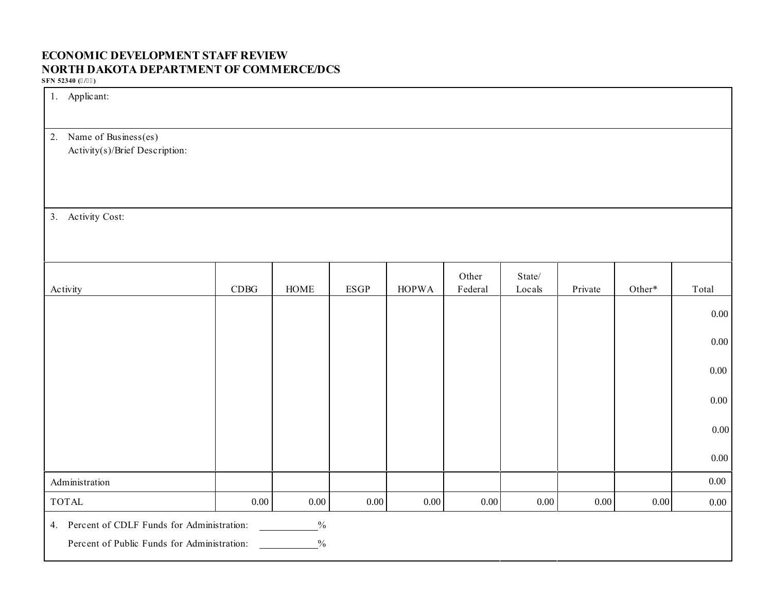# **ECONOMIC DEVELOPMENT STAFF REVIEW NORTH DAKOTA DEPARTMENT OF COMMERCE/DCS**

**SFN 52340 (/)**

| 1. Applicant:                                                                                                                 |            |             |             |              |                  |                  |         |          |          |
|-------------------------------------------------------------------------------------------------------------------------------|------------|-------------|-------------|--------------|------------------|------------------|---------|----------|----------|
| Name of Business(es)<br>2.<br>Activity(s)/Brief Description:                                                                  |            |             |             |              |                  |                  |         |          |          |
| 3. Activity Cost:                                                                                                             |            |             |             |              |                  |                  |         |          |          |
| Activity                                                                                                                      | $\rm CDBG$ | <b>HOME</b> | <b>ESGP</b> | <b>HOPWA</b> | Other<br>Federal | State/<br>Locals | Private | Other*   | Total    |
|                                                                                                                               |            |             |             |              |                  |                  |         |          | $0.00\,$ |
|                                                                                                                               |            |             |             |              |                  |                  |         |          | $0.00\,$ |
|                                                                                                                               |            |             |             |              |                  |                  |         |          | $0.00\,$ |
|                                                                                                                               |            |             |             |              |                  |                  |         |          | $0.00\,$ |
|                                                                                                                               |            |             |             |              |                  |                  |         |          | $0.00\,$ |
|                                                                                                                               |            |             |             |              |                  |                  |         |          | $0.00\,$ |
| Administration                                                                                                                |            |             |             |              |                  |                  |         |          | $0.00\,$ |
| <b>TOTAL</b>                                                                                                                  | 0.00       | $0.00\,$    | $0.00\,$    | 0.00         | $0.00\,$         | $0.00\,$         | 0.00    | $0.00\,$ | $0.00\,$ |
| 4. Percent of CDLF Funds for Administration:<br>$\frac{0}{6}$<br>$\frac{0}{0}$<br>Percent of Public Funds for Administration: |            |             |             |              |                  |                  |         |          |          |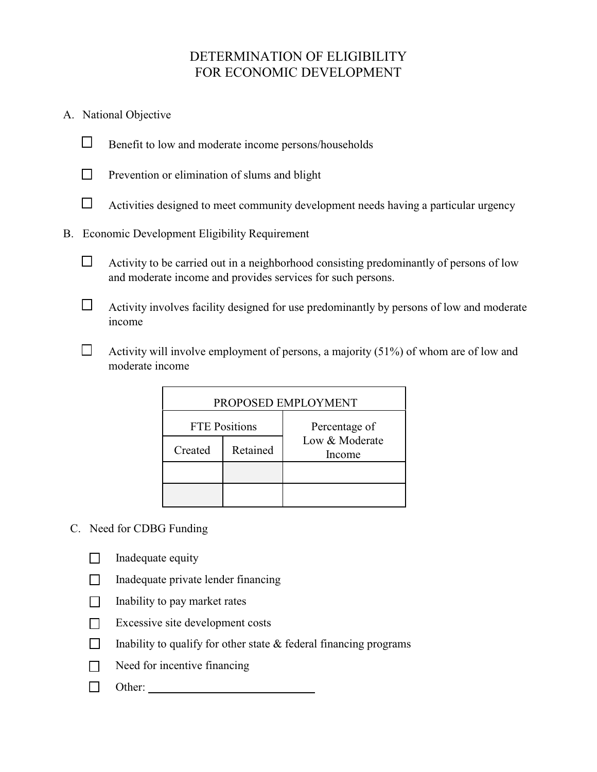# DETERMINATION OF ELIGIBILITY FOR ECONOMIC DEVELOPMENT

- A. National Objective
	- $\Box$  Benefit to low and moderate income persons/households
		-
		- $\Box$  Prevention or elimination of slums and blight
		- $\Box$  Activities designed to meet community development needs having a particular urgency
- B. Economic Development Eligibility Requirement
	- $\Box$  Activity to be carried out in a neighborhood consisting predominantly of persons of low and moderate income and provides services for such persons.
	- $\Box$  Activity involves facility designed for use predominantly by persons of low and moderate income
	- $\Box$  Activity will involve employment of persons, a majority (51%) of whom are of low and moderate income

| PROPOSED EMPLOYMENT |                      |                          |  |  |  |  |  |
|---------------------|----------------------|--------------------------|--|--|--|--|--|
|                     | <b>FTE Positions</b> | Percentage of            |  |  |  |  |  |
| Created             | Retained             | Low & Moderate<br>Income |  |  |  |  |  |
|                     |                      |                          |  |  |  |  |  |
|                     |                      |                          |  |  |  |  |  |

- C. Need for CDBG Funding
	- $\Box$  Inadequate equity
	- $\Box$  Inadequate private lender financing
	- $\Box$  Inability to pay market rates
	- $\Box$  Excessive site development costs
	- $\Box$  Inability to qualify for other state & federal financing programs
	- $\Box$  Need for incentive financing
	- $\Box$  Other: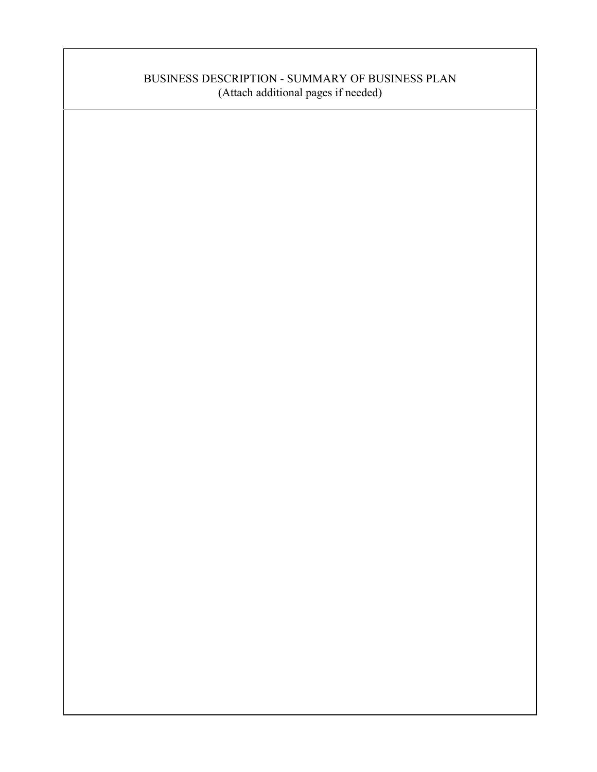# BUSINESS DESCRIPTION - SUMMARY OF BUSINESS PLAN (Attach additional pages if needed)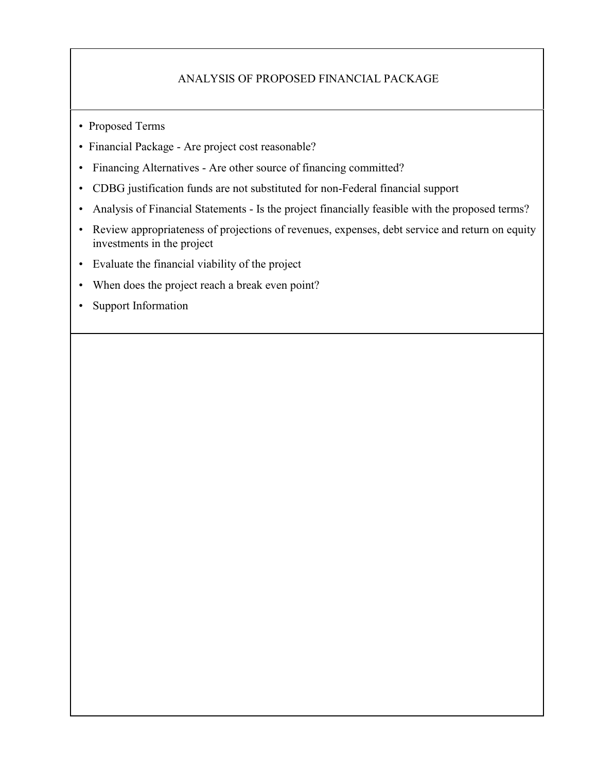## ANALYSIS OF PROPOSED FINANCIAL PACKAGE

- Proposed Terms
- Financial Package Are project cost reasonable?
- Financing Alternatives Are other source of financing committed?
- CDBG justification funds are not substituted for non-Federal financial support
- Analysis of Financial Statements Is the project financially feasible with the proposed terms?
- Review appropriateness of projections of revenues, expenses, debt service and return on equity investments in the project
- Evaluate the financial viability of the project
- When does the project reach a break even point?
- Support Information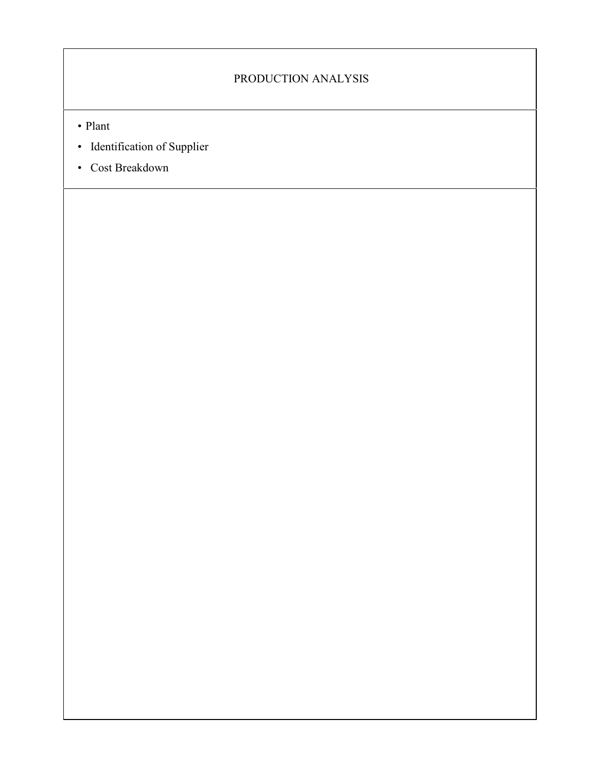# PRODUCTION ANALYSIS

- Plant
- Identification of Supplier
- Cost Breakdown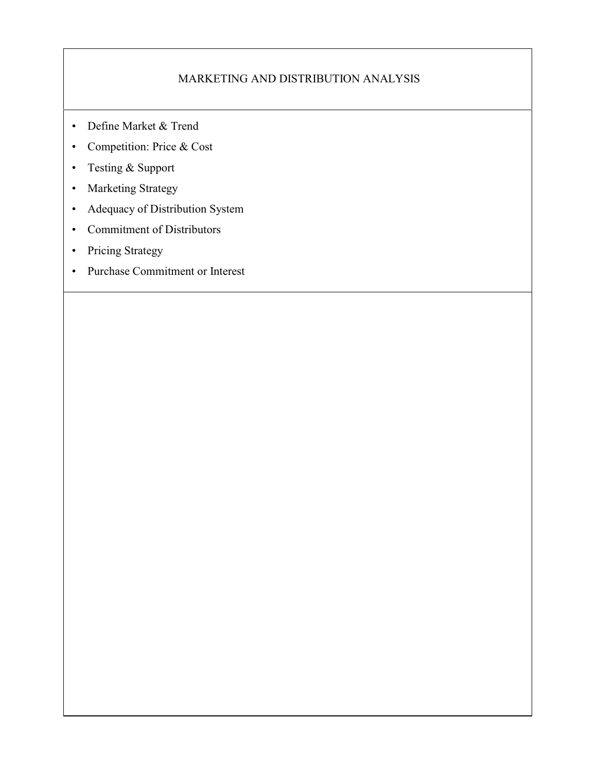## MARKETING AND DISTRIBUTION ANALYSIS

- Define Market & Trend
- Competition: Price & Cost
- Testing & Support
- Marketing Strategy
- Adequacy of Distribution System
- Commitment of Distributors
- Pricing Strategy
- Purchase Commitment or Interest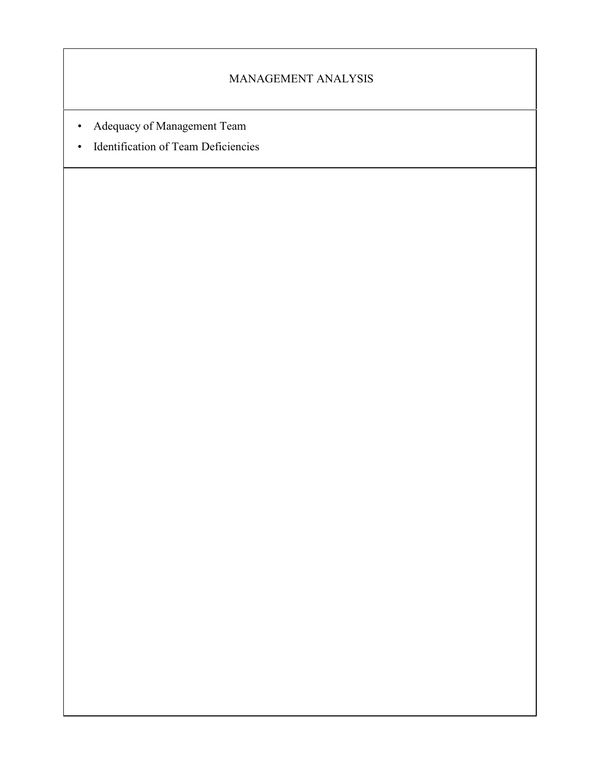## MANAGEMENT ANALYSIS

- Adequacy of Management Team
- Identification of Team Deficiencies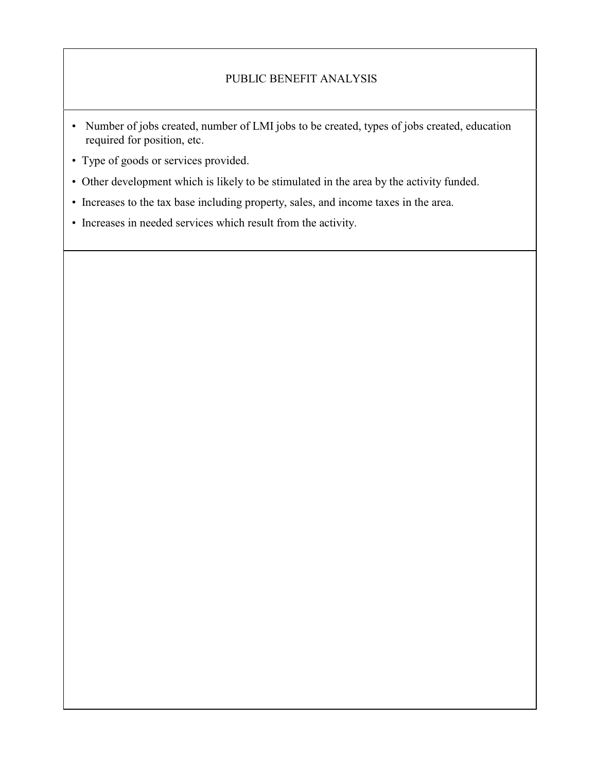## PUBLIC BENEFIT ANALYSIS

- Number of jobs created, number of LMI jobs to be created, types of jobs created, education required for position, etc.
- Type of goods or services provided.
- Other development which is likely to be stimulated in the area by the activity funded.
- Increases to the tax base including property, sales, and income taxes in the area.
- Increases in needed services which result from the activity.